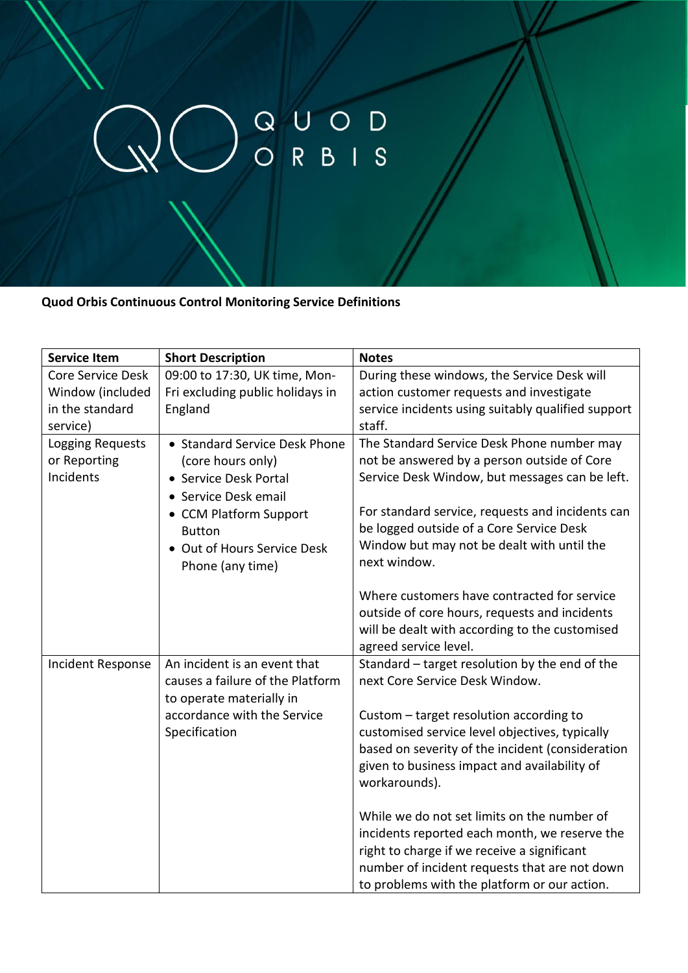## WORBIS

**Quod Orbis Continuous Control Monitoring Service Definitions**

| <b>Service Item</b> | <b>Short Description</b>         | <b>Notes</b>                                                            |
|---------------------|----------------------------------|-------------------------------------------------------------------------|
| Core Service Desk   | 09:00 to 17:30, UK time, Mon-    | During these windows, the Service Desk will                             |
| Window (included    | Fri excluding public holidays in | action customer requests and investigate                                |
| in the standard     | England                          | service incidents using suitably qualified support                      |
| service)            |                                  | staff.                                                                  |
| Logging Requests    | • Standard Service Desk Phone    | The Standard Service Desk Phone number may                              |
| or Reporting        | (core hours only)                | not be answered by a person outside of Core                             |
| Incidents           | • Service Desk Portal            | Service Desk Window, but messages can be left.                          |
|                     | • Service Desk email             |                                                                         |
|                     | • CCM Platform Support           | For standard service, requests and incidents can                        |
|                     | <b>Button</b>                    | be logged outside of a Core Service Desk                                |
|                     | • Out of Hours Service Desk      | Window but may not be dealt with until the                              |
|                     | Phone (any time)                 | next window.                                                            |
|                     |                                  |                                                                         |
|                     |                                  | Where customers have contracted for service                             |
|                     |                                  | outside of core hours, requests and incidents                           |
|                     |                                  | will be dealt with according to the customised                          |
| Incident Response   | An incident is an event that     | agreed service level.<br>Standard - target resolution by the end of the |
|                     | causes a failure of the Platform | next Core Service Desk Window.                                          |
|                     | to operate materially in         |                                                                         |
|                     | accordance with the Service      | Custom - target resolution according to                                 |
|                     | Specification                    | customised service level objectives, typically                          |
|                     |                                  | based on severity of the incident (consideration                        |
|                     |                                  | given to business impact and availability of                            |
|                     |                                  | workarounds).                                                           |
|                     |                                  |                                                                         |
|                     |                                  | While we do not set limits on the number of                             |
|                     |                                  | incidents reported each month, we reserve the                           |
|                     |                                  | right to charge if we receive a significant                             |
|                     |                                  | number of incident requests that are not down                           |
|                     |                                  | to problems with the platform or our action.                            |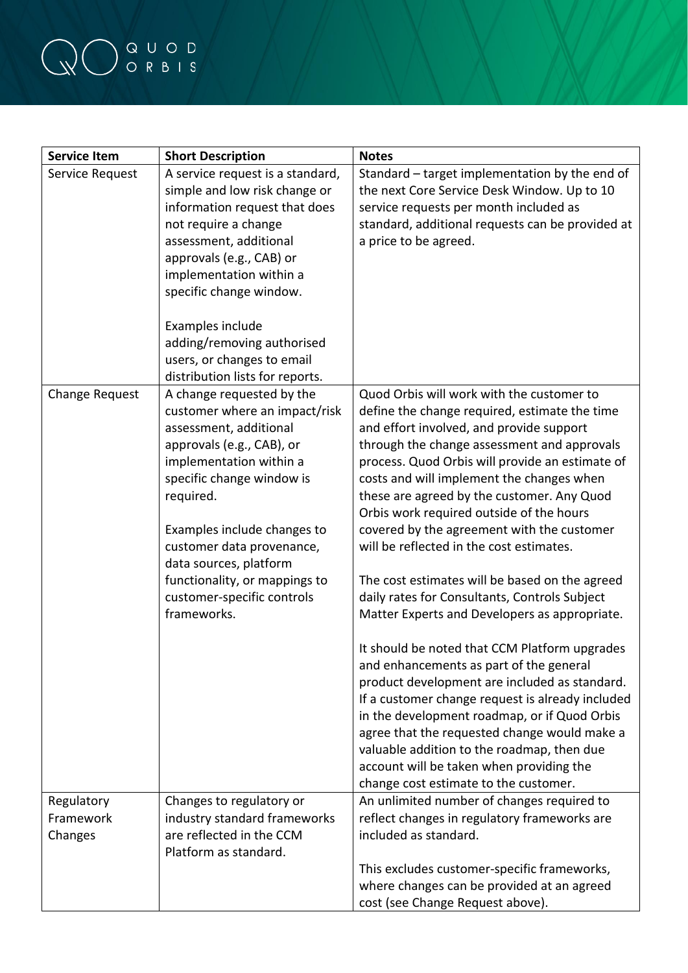## QO QUOD

| <b>Service Item</b>                | <b>Short Description</b>                                                                                                                                                                                                                                                                                                                                   | <b>Notes</b>                                                                                                                                                                                                                                                                                                                                                                                                                                                                                                                                                                                                                                                                                                                                                                                                                                                                                                                                                                                                                                                      |
|------------------------------------|------------------------------------------------------------------------------------------------------------------------------------------------------------------------------------------------------------------------------------------------------------------------------------------------------------------------------------------------------------|-------------------------------------------------------------------------------------------------------------------------------------------------------------------------------------------------------------------------------------------------------------------------------------------------------------------------------------------------------------------------------------------------------------------------------------------------------------------------------------------------------------------------------------------------------------------------------------------------------------------------------------------------------------------------------------------------------------------------------------------------------------------------------------------------------------------------------------------------------------------------------------------------------------------------------------------------------------------------------------------------------------------------------------------------------------------|
| Service Request                    | A service request is a standard,<br>simple and low risk change or<br>information request that does<br>not require a change<br>assessment, additional<br>approvals (e.g., CAB) or<br>implementation within a<br>specific change window.                                                                                                                     | Standard – target implementation by the end of<br>the next Core Service Desk Window. Up to 10<br>service requests per month included as<br>standard, additional requests can be provided at<br>a price to be agreed.                                                                                                                                                                                                                                                                                                                                                                                                                                                                                                                                                                                                                                                                                                                                                                                                                                              |
|                                    | Examples include<br>adding/removing authorised<br>users, or changes to email<br>distribution lists for reports.                                                                                                                                                                                                                                            |                                                                                                                                                                                                                                                                                                                                                                                                                                                                                                                                                                                                                                                                                                                                                                                                                                                                                                                                                                                                                                                                   |
| Change Request                     | A change requested by the<br>customer where an impact/risk<br>assessment, additional<br>approvals (e.g., CAB), or<br>implementation within a<br>specific change window is<br>required.<br>Examples include changes to<br>customer data provenance,<br>data sources, platform<br>functionality, or mappings to<br>customer-specific controls<br>frameworks. | Quod Orbis will work with the customer to<br>define the change required, estimate the time<br>and effort involved, and provide support<br>through the change assessment and approvals<br>process. Quod Orbis will provide an estimate of<br>costs and will implement the changes when<br>these are agreed by the customer. Any Quod<br>Orbis work required outside of the hours<br>covered by the agreement with the customer<br>will be reflected in the cost estimates.<br>The cost estimates will be based on the agreed<br>daily rates for Consultants, Controls Subject<br>Matter Experts and Developers as appropriate.<br>It should be noted that CCM Platform upgrades<br>and enhancements as part of the general<br>product development are included as standard.<br>If a customer change request is already included<br>in the development roadmap, or if Quod Orbis<br>agree that the requested change would make a<br>valuable addition to the roadmap, then due<br>account will be taken when providing the<br>change cost estimate to the customer. |
| Regulatory<br>Framework<br>Changes | Changes to regulatory or<br>industry standard frameworks<br>are reflected in the CCM<br>Platform as standard.                                                                                                                                                                                                                                              | An unlimited number of changes required to<br>reflect changes in regulatory frameworks are<br>included as standard.<br>This excludes customer-specific frameworks,                                                                                                                                                                                                                                                                                                                                                                                                                                                                                                                                                                                                                                                                                                                                                                                                                                                                                                |
|                                    |                                                                                                                                                                                                                                                                                                                                                            | where changes can be provided at an agreed<br>cost (see Change Request above).                                                                                                                                                                                                                                                                                                                                                                                                                                                                                                                                                                                                                                                                                                                                                                                                                                                                                                                                                                                    |